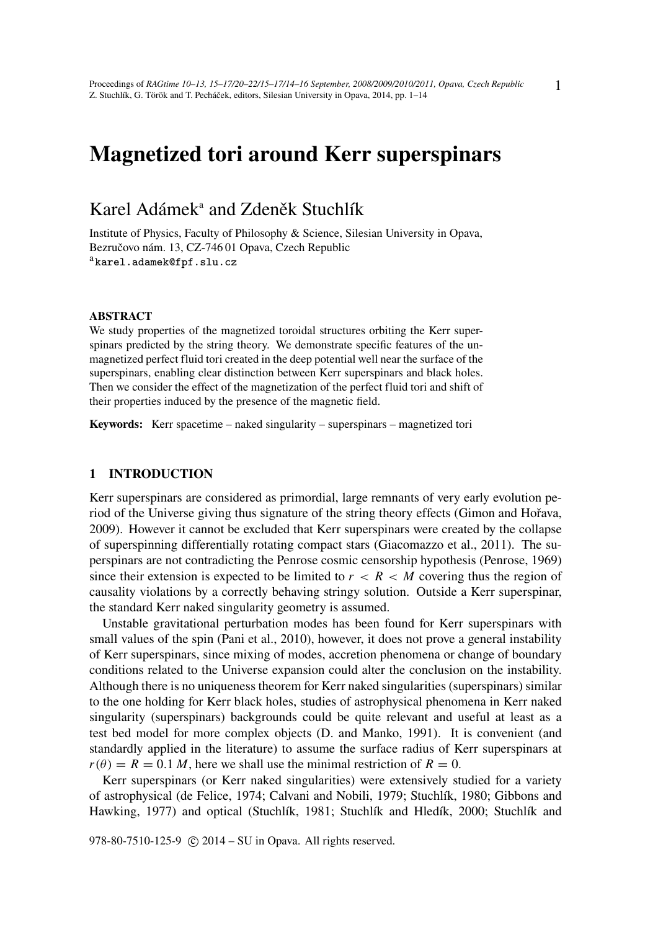# Magnetized tori around Kerr superspinars

## Karel Adámek<sup>a</sup> and Zdeněk Stuchlík

Institute of Physics, Faculty of Philosophy & Science, Silesian University in Opava, Bezručovo nám. 13, CZ-746 01 Opava, Czech Republic akarel.adamek@fpf.slu.cz

#### ABSTRACT

We study properties of the magnetized toroidal structures orbiting the Kerr superspinars predicted by the string theory. We demonstrate specific features of the unmagnetized perfect fluid tori created in the deep potential well near the surface of the superspinars, enabling clear distinction between Kerr superspinars and black holes. Then we consider the effect of the magnetization of the perfect fluid tori and shift of their properties induced by the presence of the magnetic field.

Keywords: Kerr spacetime – naked singularity – superspinars – magnetized tori

#### 1 INTRODUCTION

Kerr superspinars are considered as primordial, large remnants of very early evolution period of the Universe giving thus signature of the string theory effects (Gimon and Hořava, 2009). However it cannot be excluded that Kerr superspinars were created by the collapse of superspinning differentially rotating compact stars (Giacomazzo et al., 2011). The superspinars are not contradicting the Penrose cosmic censorship hypothesis (Penrose, 1969) since their extension is expected to be limited to  $r < R < M$  covering thus the region of causality violations by a correctly behaving stringy solution. Outside a Kerr superspinar, the standard Kerr naked singularity geometry is assumed.

Unstable gravitational perturbation modes has been found for Kerr superspinars with small values of the spin (Pani et al., 2010), however, it does not prove a general instability of Kerr superspinars, since mixing of modes, accretion phenomena or change of boundary conditions related to the Universe expansion could alter the conclusion on the instability. Although there is no uniqueness theorem for Kerr naked singularities (superspinars) similar to the one holding for Kerr black holes, studies of astrophysical phenomena in Kerr naked singularity (superspinars) backgrounds could be quite relevant and useful at least as a test bed model for more complex objects (D. and Manko, 1991). It is convenient (and standardly applied in the literature) to assume the surface radius of Kerr superspinars at  $r(\theta) = R = 0.1 M$ , here we shall use the minimal restriction of  $R = 0$ .

Kerr superspinars (or Kerr naked singularities) were extensively studied for a variety of astrophysical (de Felice, 1974; Calvani and Nobili, 1979; Stuchlík, 1980; Gibbons and Hawking, 1977) and optical (Stuchlík, 1981; Stuchlík and Hledík, 2000; Stuchlík and

978-80-7510-125-9 (c) 2014 – SU in Opava. All rights reserved.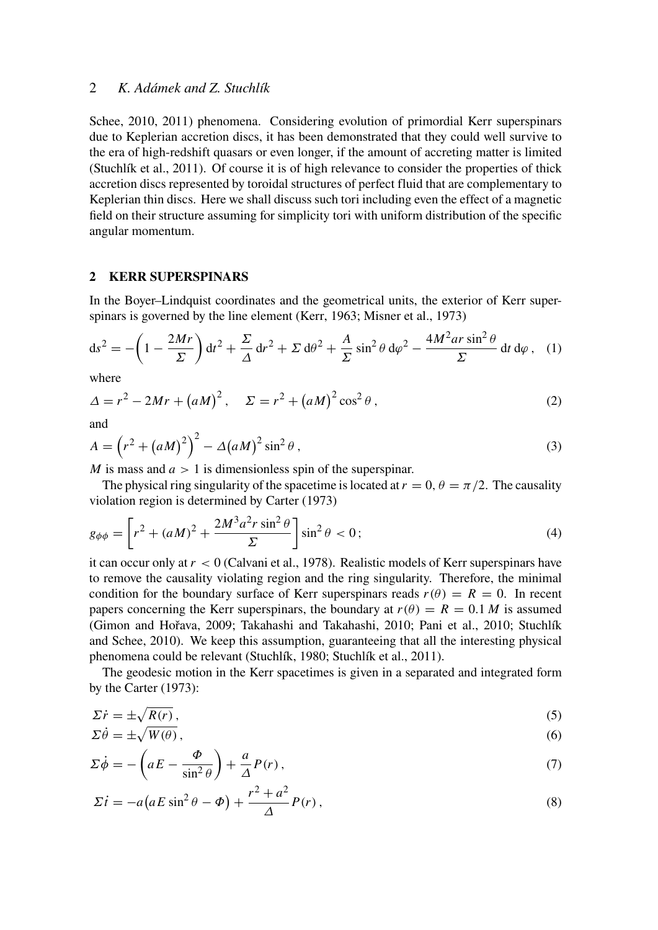Schee, 2010, 2011) phenomena. Considering evolution of primordial Kerr superspinars due to Keplerian accretion discs, it has been demonstrated that they could well survive to the era of high-redshift quasars or even longer, if the amount of accreting matter is limited (Stuchlík et al., 2011). Of course it is of high relevance to consider the properties of thick accretion discs represented by toroidal structures of perfect fluid that are complementary to Keplerian thin discs. Here we shall discuss such tori including even the effect of a magnetic field on their structure assuming for simplicity tori with uniform distribution of the specific angular momentum.

### 2 KERR SUPERSPINARS

In the Boyer–Lindquist coordinates and the geometrical units, the exterior of Kerr superspinars is governed by the line element (Kerr, 1963; Misner et al., 1973)

$$
ds^{2} = -\left(1 - \frac{2Mr}{\Sigma}\right)dt^{2} + \frac{\Sigma}{\Delta}dr^{2} + \Sigma d\theta^{2} + \frac{A}{\Sigma}\sin^{2}\theta d\varphi^{2} - \frac{4M^{2}ar\sin^{2}\theta}{\Sigma}dt d\varphi, \quad (1)
$$

where

$$
\Delta = r^2 - 2Mr + (aM)^2, \quad \Sigma = r^2 + (aM)^2 \cos^2 \theta,
$$
 (2)

and

$$
A = \left(r^2 + (aM)^2\right)^2 - \Delta(aM)^2 \sin^2\theta\,,\tag{3}
$$

*M* is mass and  $a > 1$  is dimensionless spin of the superspinar.

The physical ring singularity of the spacetime is located at  $r = 0$ ,  $\theta = \pi/2$ . The causality violation region is determined by Carter (1973)

$$
g_{\phi\phi} = \left[r^2 + (aM)^2 + \frac{2M^3a^2r\sin^2\theta}{\Sigma}\right]\sin^2\theta < 0\tag{4}
$$

it can occur only at *r* < 0 (Calvani et al., 1978). Realistic models of Kerr superspinars have to remove the causality violating region and the ring singularity. Therefore, the minimal condition for the boundary surface of Kerr superspinars reads  $r(\theta) = R = 0$ . In recent papers concerning the Kerr superspinars, the boundary at  $r(\theta) = R = 0.1 M$  is assumed (Gimon and Hořava, 2009; Takahashi and Takahashi, 2010; Pani et al., 2010; Stuchlík and Schee, 2010). We keep this assumption, guaranteeing that all the interesting physical phenomena could be relevant (Stuchlík, 1980; Stuchlík et al., 2011).

The geodesic motion in the Kerr spacetimes is given in a separated and integrated form by the Carter (1973):

$$
\Sigma \dot{r} = \pm \sqrt{R(r)}\,,\tag{5}
$$

$$
\Sigma \dot{\theta} = \pm \sqrt{W(\theta)},\tag{6}
$$

$$
\Sigma \dot{\phi} = -\left(aE - \frac{\Phi}{\sin^2 \theta}\right) + \frac{a}{\Delta}P(r),\tag{7}
$$

$$
\Sigma \dot{t} = -a\left(aE\sin^2\theta - \Phi\right) + \frac{r^2 + a^2}{\Delta}P(r)\,,\tag{8}
$$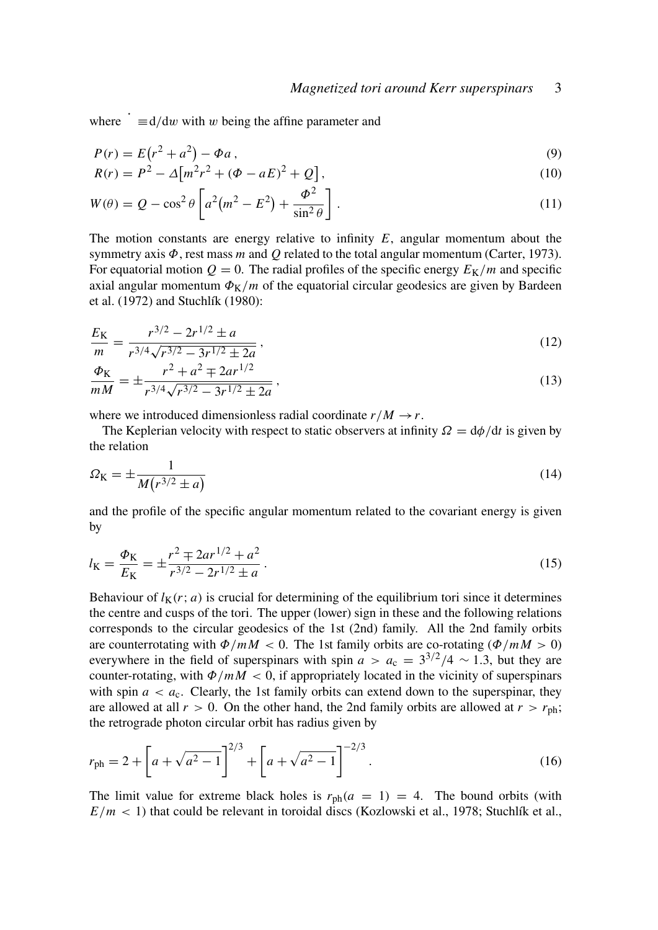where  $\dot{\phantom{a}} \equiv d/dw$  with w being the affine parameter and

$$
P(r) = E(r^2 + a^2) - \Phi a,
$$
\n(9)

$$
R(r) = P2 - \Delta[m2r2 + (\Phi - aE)2 + Q],
$$
\n(10)

$$
W(\theta) = Q - \cos^2 \theta \left[ a^2 \left( m^2 - E^2 \right) + \frac{\Phi^2}{\sin^2 \theta} \right].
$$
\n(11)

The motion constants are energy relative to infinity *E*, angular momentum about the symmetry axis Φ, rest mass *m* and *Q* related to the total angular momentum (Carter, 1973). For equatorial motion  $Q = 0$ . The radial profiles of the specific energy  $E_K/m$  and specific axial angular momentum  $\Phi_K/m$  of the equatorial circular geodesics are given by Bardeen et al. (1972) and Stuchlík (1980):

$$
\frac{E_{\rm K}}{m} = \frac{r^{3/2} - 2r^{1/2} \pm a}{r^{3/4}\sqrt{r^{3/2} - 3r^{1/2} \pm 2a}}\,,\tag{12}
$$

$$
\frac{\Phi_{\rm K}}{mM} = \pm \frac{r^2 + a^2 \mp 2ar^{1/2}}{r^{3/4}\sqrt{r^{3/2} - 3r^{1/2} \pm 2a}}\,,\tag{13}
$$

where we introduced dimensionless radial coordinate  $r/M \rightarrow r$ .

The Keplerian velocity with respect to static observers at infinity  $\Omega = d\phi/dt$  is given by the relation

$$
\Omega_{\rm K} = \pm \frac{1}{M(r^{3/2} \pm a)}\tag{14}
$$

and the profile of the specific angular momentum related to the covariant energy is given by

$$
l_{\rm K} = \frac{\Phi_{\rm K}}{E_{\rm K}} = \pm \frac{r^2 \mp 2ar^{1/2} + a^2}{r^{3/2} - 2r^{1/2} \pm a} \,. \tag{15}
$$

Behaviour of  $l_K(r; a)$  is crucial for determining of the equilibrium tori since it determines the centre and cusps of the tori. The upper (lower) sign in these and the following relations corresponds to the circular geodesics of the 1st (2nd) family. All the 2nd family orbits are counterrotating with  $\Phi/mM < 0$ . The 1st family orbits are co-rotating ( $\Phi/mM > 0$ ) everywhere in the field of superspinars with spin  $a > a_c = 3^{3/2}/4 \sim 1.3$ , but they are counter-rotating, with  $\Phi/mM < 0$ , if appropriately located in the vicinity of superspinars with spin  $a < a_c$ . Clearly, the 1st family orbits can extend down to the superspinar, they are allowed at all  $r > 0$ . On the other hand, the 2nd family orbits are allowed at  $r > r_{\text{ph}}$ ; the retrograde photon circular orbit has radius given by

$$
r_{\rm ph} = 2 + \left[ a + \sqrt{a^2 - 1} \right]^{2/3} + \left[ a + \sqrt{a^2 - 1} \right]^{-2/3}.
$$
 (16)

The limit value for extreme black holes is  $r_{ph}(a = 1) = 4$ . The bound orbits (with  $E/m < 1$ ) that could be relevant in toroidal discs (Kozlowski et al., 1978; Stuchlík et al.,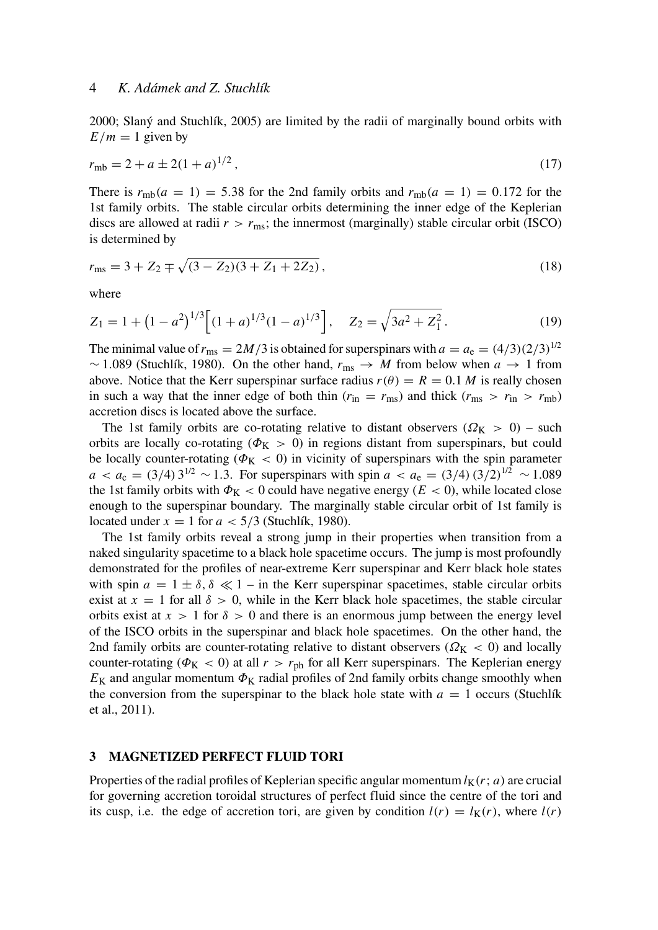2000; Slaný and Stuchlík, 2005) are limited by the radii of marginally bound orbits with  $E/m = 1$  given by

$$
r_{\rm mb} = 2 + a \pm 2(1 + a)^{1/2},\tag{17}
$$

There is  $r_{\text{mb}}(a = 1) = 5.38$  for the 2nd family orbits and  $r_{\text{mb}}(a = 1) = 0.172$  for the 1st family orbits. The stable circular orbits determining the inner edge of the Keplerian discs are allowed at radii  $r > r_{\text{ms}}$ ; the innermost (marginally) stable circular orbit (ISCO) is determined by

$$
r_{\rm ms} = 3 + Z_2 \mp \sqrt{(3 - Z_2)(3 + Z_1 + 2Z_2)}\,,\tag{18}
$$

where

$$
Z_1 = 1 + (1 - a^2)^{1/3} \left[ (1 + a)^{1/3} (1 - a)^{1/3} \right], \quad Z_2 = \sqrt{3a^2 + Z_1^2}.
$$
 (19)

The minimal value of  $r_{\text{ms}} = 2M/3$  is obtained for superspinars with  $a = a_e = (4/3)(2/3)^{1/2}$ ∼ 1.089 (Stuchlík, 1980). On the other hand, *r*ms → *M* from below when *a* → 1 from above. Notice that the Kerr superspinar surface radius  $r(\theta) = R = 0.1 M$  is really chosen in such a way that the inner edge of both thin ( $r_{\text{in}} = r_{\text{ms}}$ ) and thick ( $r_{\text{ms}} > r_{\text{in}} > r_{\text{mb}}$ ) accretion discs is located above the surface.

The 1st family orbits are co-rotating relative to distant observers ( $\Omega_{\rm K} > 0$ ) – such orbits are locally co-rotating ( $\Phi_{\rm K} > 0$ ) in regions distant from superspinars, but could be locally counter-rotating ( $\Phi_{\rm K}$  < 0) in vicinity of superspinars with the spin parameter  $a < a_c = (3/4) 3^{1/2} \sim 1.3$ . For superspinars with spin  $a < a_e = (3/4) (3/2)^{1/2} \sim 1.089$ the 1st family orbits with  $\Phi_K < 0$  could have negative energy ( $E < 0$ ), while located close enough to the superspinar boundary. The marginally stable circular orbit of 1st family is located under  $x = 1$  for  $a < 5/3$  (Stuchlík, 1980).

The 1st family orbits reveal a strong jump in their properties when transition from a naked singularity spacetime to a black hole spacetime occurs. The jump is most profoundly demonstrated for the profiles of near-extreme Kerr superspinar and Kerr black hole states with spin  $a = 1 \pm \delta$ ,  $\delta \ll 1$  – in the Kerr superspinar spacetimes, stable circular orbits exist at  $x = 1$  for all  $\delta > 0$ , while in the Kerr black hole spacetimes, the stable circular orbits exist at  $x > 1$  for  $\delta > 0$  and there is an enormous jump between the energy level of the ISCO orbits in the superspinar and black hole spacetimes. On the other hand, the 2nd family orbits are counter-rotating relative to distant observers ( $\Omega_{\rm K}$  < 0) and locally counter-rotating ( $\Phi_{\rm K}$  < 0) at all  $r > r_{\rm ph}$  for all Kerr superspinars. The Keplerian energy  $E_K$  and angular momentum  $\Phi_K$  radial profiles of 2nd family orbits change smoothly when the conversion from the superspinar to the black hole state with  $a = 1$  occurs (Stuchlík et al., 2011).

#### 3 MAGNETIZED PERFECT FLUID TORI

Properties of the radial profiles of Keplerian specific angular momentum  $l<sub>K</sub>(r; a)$  are crucial for governing accretion toroidal structures of perfect fluid since the centre of the tori and its cusp, i.e. the edge of accretion tori, are given by condition  $l(r) = l_K(r)$ , where  $l(r)$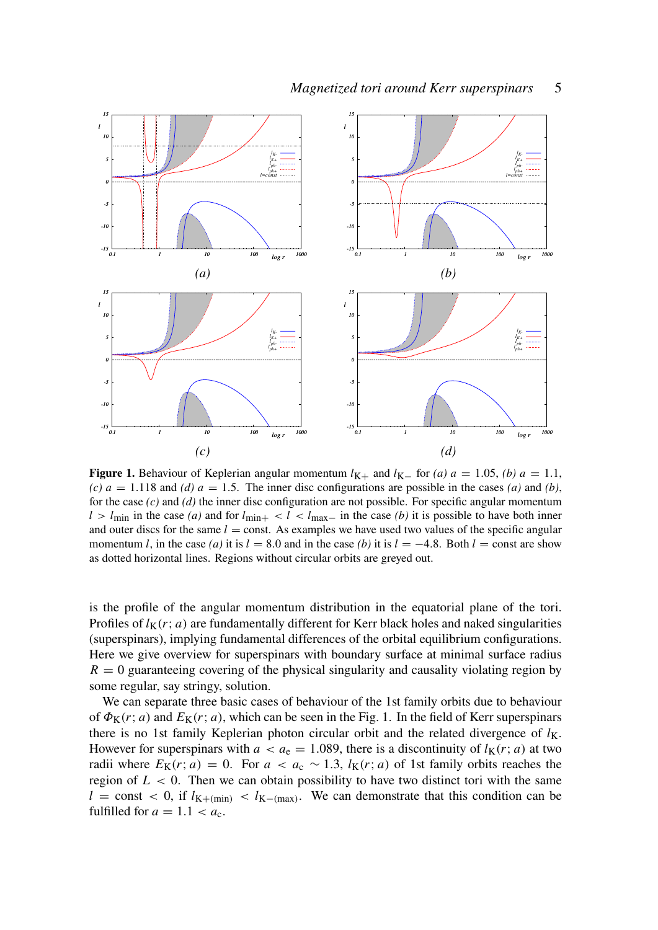

Figure 1. Behaviour of Keplerian angular momentum  $l_{K+}$  and  $l_{K-}$  for *(a)*  $a = 1.05$ , *(b)*  $a = 1.1$ , *(c)*  $a = 1.118$  and *(d)*  $a = 1.5$ . The inner disc configurations are possible in the cases *(a)* and *(b)*, for the case *(c)* and *(d)* the inner disc configuration are not possible. For specific angular momentum  $l > l_{\text{min}}$  in the case *(a)* and for  $l_{\text{min}+} < l < l_{\text{max}-}$  in the case *(b)* it is possible to have both inner and outer discs for the same  $l =$  const. As examples we have used two values of the specific angular momentum *l*, in the case *(a)* it is  $l = 8.0$  and in the case *(b)* it is  $l = -4.8$ . Both  $l =$  const are show as dotted horizontal lines. Regions without circular orbits are greyed out.

is the profile of the angular momentum distribution in the equatorial plane of the tori. Profiles of  $l_K(r; a)$  are fundamentally different for Kerr black holes and naked singularities (superspinars), implying fundamental differences of the orbital equilibrium configurations. Here we give overview for superspinars with boundary surface at minimal surface radius  $R = 0$  guaranteeing covering of the physical singularity and causality violating region by some regular, say stringy, solution.

We can separate three basic cases of behaviour of the 1st family orbits due to behaviour of  $\Phi_{\mathbf{K}}(r; a)$  and  $E_{\mathbf{K}}(r; a)$ , which can be seen in the Fig. 1. In the field of Kerr superspinars there is no 1st family Keplerian photon circular orbit and the related divergence of  $l_K$ . However for superspinars with  $a < a_e = 1.089$ , there is a discontinuity of  $l_K(r; a)$  at two radii where  $E_K(r; a) = 0$ . For  $a < a_c \sim 1.3$ ,  $l_K(r; a)$  of 1st family orbits reaches the region of  $L < 0$ . Then we can obtain possibility to have two distinct tori with the same  $l =$  const < 0, if  $l_{K+(min)} < l_{K-(max)}$ . We can demonstrate that this condition can be fulfilled for  $a = 1.1 < a_c$ .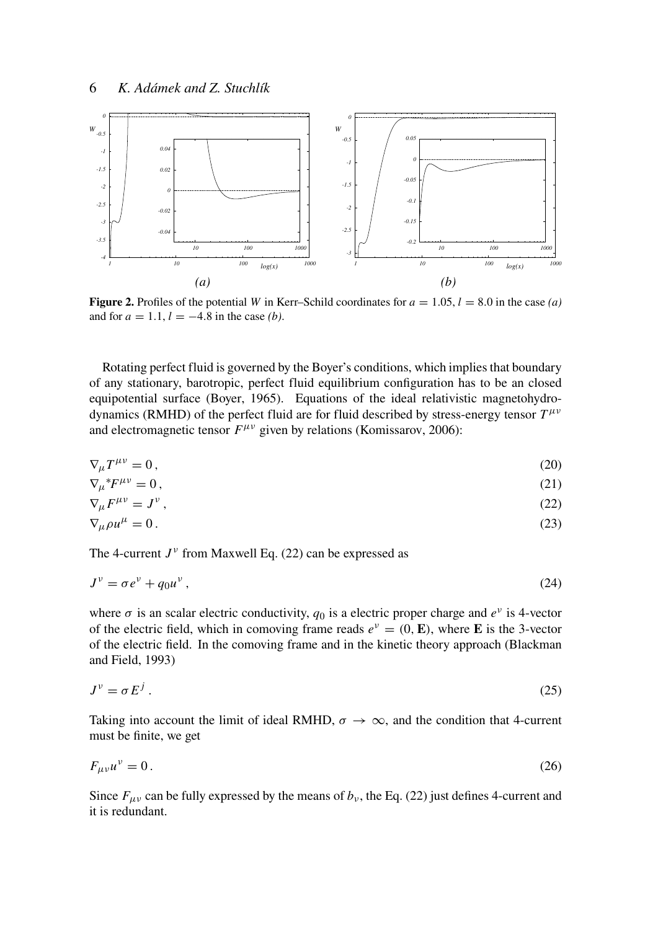

Figure 2. Profiles of the potential *W* in Kerr–Schild coordinates for  $a = 1.05$ ,  $l = 8.0$  in the case *(a)* and for  $a = 1.1$ ,  $l = -4.8$  in the case *(b)*.

Rotating perfect fluid is governed by the Boyer's conditions, which implies that boundary of any stationary, barotropic, perfect fluid equilibrium configuration has to be an closed equipotential surface (Boyer, 1965). Equations of the ideal relativistic magnetohydrodynamics (RMHD) of the perfect fluid are for fluid described by stress-energy tensor  $T^{\mu\nu}$ and electromagnetic tensor  $F^{\mu\nu}$  given by relations (Komissarov, 2006):

$$
\nabla_{\mu}T^{\mu\nu} = 0, \tag{20}
$$

$$
\nabla_{\mu}^* F^{\mu\nu} = 0, \qquad (21)
$$

$$
\nabla_{\mu} F^{\mu \nu} = J^{\nu} \,, \tag{22}
$$

$$
\nabla_{\mu}\rho u^{\mu} = 0. \tag{23}
$$

The 4-current  $J^{\nu}$  from Maxwell Eq. (22) can be expressed as

$$
J^{\nu} = \sigma e^{\nu} + q_0 u^{\nu},\tag{24}
$$

where  $\sigma$  is an scalar electric conductivity,  $q_0$  is a electric proper charge and  $e^{\nu}$  is 4-vector of the electric field, which in comoving frame reads  $e^v = (0, E)$ , where **E** is the 3-vector of the electric field. In the comoving frame and in the kinetic theory approach (Blackman and Field, 1993)

$$
J^{\nu} = \sigma E^{j} . \tag{25}
$$

Taking into account the limit of ideal RMHD,  $\sigma \to \infty$ , and the condition that 4-current must be finite, we get

$$
F_{\mu\nu}u^{\nu}=0.\tag{26}
$$

Since  $F_{\mu\nu}$  can be fully expressed by the means of  $b_{\nu}$ , the Eq. (22) just defines 4-current and it is redundant.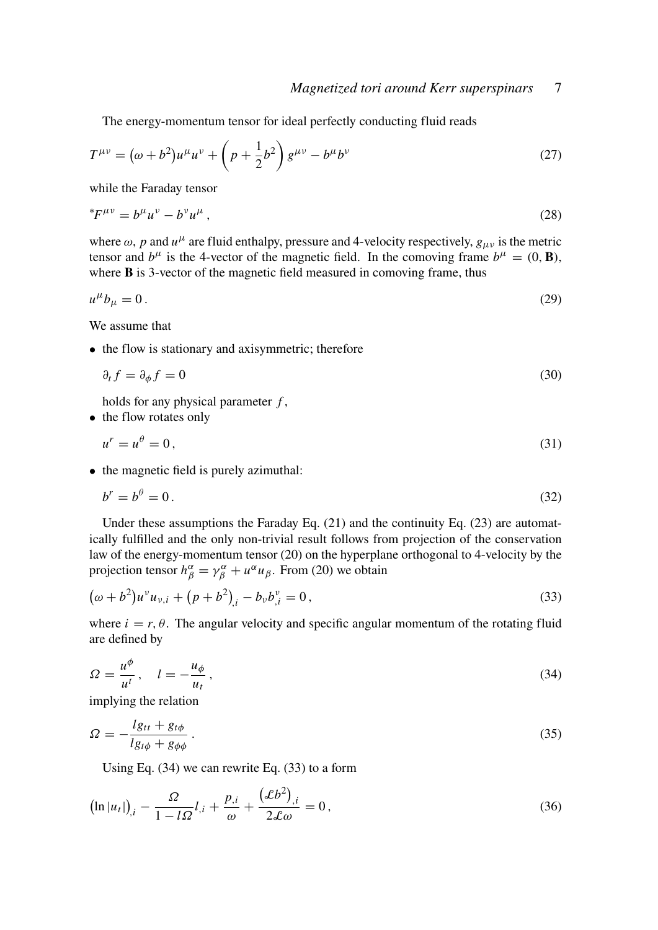The energy-momentum tensor for ideal perfectly conducting fluid reads

$$
T^{\mu\nu} = (\omega + b^2)u^{\mu}u^{\nu} + \left(p + \frac{1}{2}b^2\right)g^{\mu\nu} - b^{\mu}b^{\nu}
$$
 (27)

while the Faraday tensor

$$
{}^*F^{\mu\nu} = b^{\mu}u^{\nu} - b^{\nu}u^{\mu}, \tag{28}
$$

where  $\omega$ , *p* and  $u^{\mu}$  are fluid enthalpy, pressure and 4-velocity respectively,  $g_{\mu\nu}$  is the metric tensor and  $b^{\mu}$  is the 4-vector of the magnetic field. In the comoving frame  $b^{\mu} = (0, \mathbf{B})$ , where **B** is 3-vector of the magnetic field measured in comoving frame, thus

$$
u^{\mu}b_{\mu}=0.\tag{29}
$$

We assume that

• the flow is stationary and axisymmetric; therefore

$$
\partial_t f = \partial_\phi f = 0 \tag{30}
$$

holds for any physical parameter *f* ,

• the flow rotates only

$$
u^r = u^\theta = 0,\tag{31}
$$

• the magnetic field is purely azimuthal:

$$
b^r = b^\theta = 0. \tag{32}
$$

Under these assumptions the Faraday Eq. (21) and the continuity Eq. (23) are automatically fulfilled and the only non-trivial result follows from projection of the conservation law of the energy-momentum tensor (20) on the hyperplane orthogonal to 4-velocity by the projection tensor  $h^{\alpha}_{\beta} = \gamma^{\alpha}_{\beta} + u^{\alpha} u_{\beta}$ . From (20) we obtain

$$
(\omega + b^2)u^{\nu}u_{\nu,i} + (p + b^2)_{,i} - b_{\nu}b^{\nu}_{,i} = 0, \qquad (33)
$$

where  $i = r, \theta$ . The angular velocity and specific angular momentum of the rotating fluid are defined by

$$
\Omega = \frac{u^{\phi}}{u^t}, \quad l = -\frac{u_{\phi}}{u_t}, \tag{34}
$$

implying the relation

$$
\Omega = -\frac{lg_{tt} + g_{t\phi}}{lg_{t\phi} + g_{\phi\phi}}.
$$
\n(35)

Using Eq. (34) we can rewrite Eq. (33) to a form

$$
\left(\ln|u_t|\right)_{,i} - \frac{\Omega}{1 - l\Omega}l_{,i} + \frac{p_{,i}}{\omega} + \frac{(\mathcal{L}b^2)_{,i}}{2\mathcal{L}\omega} = 0\,,\tag{36}
$$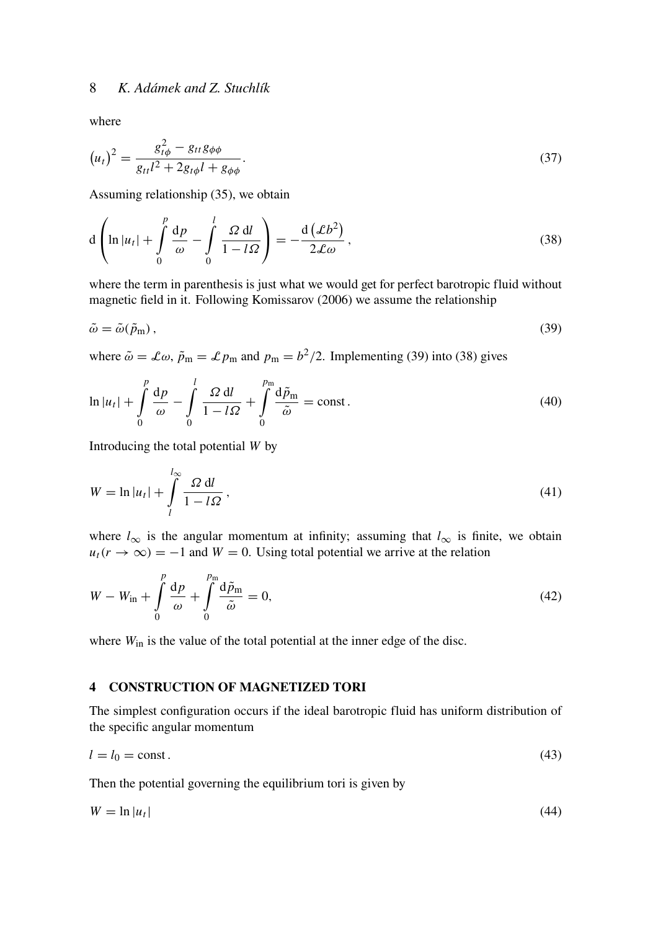where

$$
(u_t)^2 = \frac{g_{t\phi}^2 - g_{tt}g_{\phi\phi}}{g_{tt}l^2 + 2g_{t\phi}l + g_{\phi\phi}}.\tag{37}
$$

Assuming relationship (35), we obtain

$$
d\left(\ln|u_t| + \int\limits_0^p \frac{dp}{\omega} - \int\limits_0^l \frac{\Omega \,dl}{1-l\Omega}\right) = -\frac{d\left(\mathcal{L}b^2\right)}{2\mathcal{L}\omega},\tag{38}
$$

where the term in parenthesis is just what we would get for perfect barotropic fluid without magnetic field in it. Following Komissarov (2006) we assume the relationship

$$
\tilde{\omega} = \tilde{\omega}(\tilde{p}_{\rm m}),\tag{39}
$$

where  $\tilde{\omega} = \mathcal{L}\omega$ ,  $\tilde{p}_{m} = \mathcal{L}p_{m}$  and  $p_{m} = b^{2}/2$ . Implementing (39) into (38) gives

$$
\ln|u_t| + \int_0^p \frac{dp}{\omega} - \int_0^l \frac{\Omega \, dl}{1 - l\Omega} + \int_0^{p_m} \frac{d\tilde{p}_m}{\tilde{\omega}} = \text{const.}
$$
 (40)

Introducing the total potential *W* by

$$
W = \ln |u_t| + \int_{l}^{l_{\infty}} \frac{\Omega \, \mathrm{d}l}{1 - l\Omega},\tag{41}
$$

where  $l_{\infty}$  is the angular momentum at infinity; assuming that  $l_{\infty}$  is finite, we obtain  $u_t(r \to \infty) = -1$  and  $W = 0$ . Using total potential we arrive at the relation

$$
W - W_{\rm in} + \int_{0}^{p} \frac{\mathrm{d}p}{\omega} + \int_{0}^{p_{\rm in}} \frac{\mathrm{d}\tilde{p}_{\rm in}}{\tilde{\omega}} = 0, \tag{42}
$$

where  $W_{\text{in}}$  is the value of the total potential at the inner edge of the disc.

## 4 CONSTRUCTION OF MAGNETIZED TORI

The simplest configuration occurs if the ideal barotropic fluid has uniform distribution of the specific angular momentum

$$
l = l_0 = \text{const.}\tag{43}
$$

Then the potential governing the equilibrium tori is given by

$$
W = \ln|u_t| \tag{44}
$$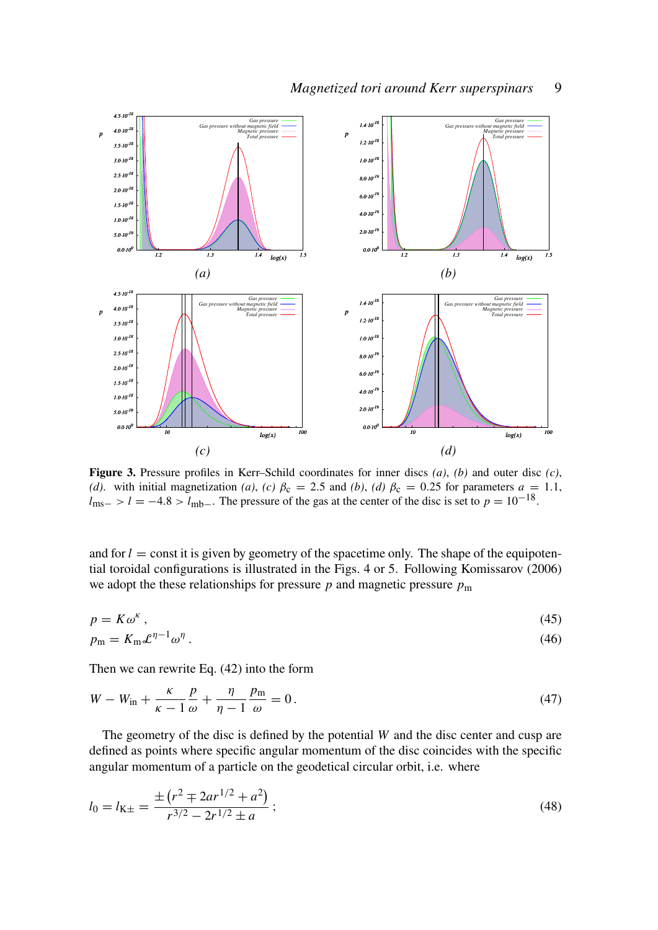

Figure 3. Pressure profiles in Kerr–Schild coordinates for inner discs *(a)*, *(b)* and outer disc *(c)*, *(d)*. with initial magnetization *(a)*, *(c)*  $\beta_c = 2.5$  and *(b)*, *(d)*  $\beta_c = 0.25$  for parameters  $a = 1.1$ ,  $l_{\text{ms}-}$  >  $l = -4.8$  >  $l_{\text{mb}-}$ . The pressure of the gas at the center of the disc is set to  $p = 10^{-18}$ .

and for  $l =$  const it is given by geometry of the spacetime only. The shape of the equipotential toroidal configurations is illustrated in the Figs. 4 or 5. Following Komissarov (2006) we adopt the these relationships for pressure  $p$  and magnetic pressure  $p<sub>m</sub>$ 

$$
p = K\omega^{\kappa} \tag{45}
$$

$$
p_{\rm m} = K_{\rm m} \mathcal{L}^{\eta - 1} \omega^{\eta} \,. \tag{46}
$$

Then we can rewrite Eq. (42) into the form

$$
W - W_{\rm in} + \frac{\kappa}{\kappa - 1} \frac{p}{\omega} + \frac{\eta}{\eta - 1} \frac{p_{\rm m}}{\omega} = 0. \tag{47}
$$

The geometry of the disc is defined by the potential *W* and the disc center and cusp are defined as points where specific angular momentum of the disc coincides with the specific angular momentum of a particle on the geodetical circular orbit, i.e. where

$$
l_0 = l_{\text{K}\pm} = \frac{\pm (r^2 \mp 2ar^{1/2} + a^2)}{r^{3/2} - 2r^{1/2} \pm a};
$$
\n(48)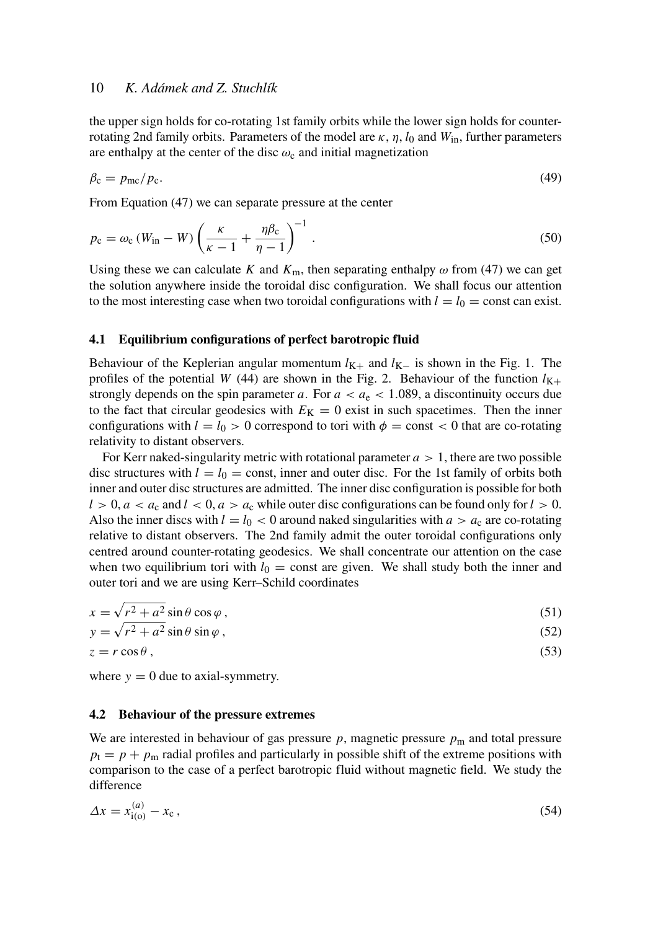the upper sign holds for co-rotating 1st family orbits while the lower sign holds for counterrotating 2nd family orbits. Parameters of the model are  $\kappa$ ,  $\eta$ ,  $l_0$  and  $W_{in}$ , further parameters are enthalpy at the center of the disc  $\omega_c$  and initial magnetization

$$
\beta_{\rm c} = p_{\rm mc}/p_{\rm c}.\tag{49}
$$

From Equation (47) we can separate pressure at the center

$$
p_{\rm c} = \omega_{\rm c} \left( W_{\rm in} - W \right) \left( \frac{\kappa}{\kappa - 1} + \frac{\eta \beta_{\rm c}}{\eta - 1} \right)^{-1} . \tag{50}
$$

Using these we can calculate *K* and  $K_m$ , then separating enthalpy  $\omega$  from (47) we can get the solution anywhere inside the toroidal disc configuration. We shall focus our attention to the most interesting case when two toroidal configurations with  $l = l_0 = \text{const}$  can exist.

#### 4.1 Equilibrium configurations of perfect barotropic fluid

Behaviour of the Keplerian angular momentum  $l_{K+}$  and  $l_{K-}$  is shown in the Fig. 1. The profiles of the potential *W* (44) are shown in the Fig. 2. Behaviour of the function  $l_{K+}$ strongly depends on the spin parameter *a*. For  $a < a_e < 1.089$ , a discontinuity occurs due to the fact that circular geodesics with  $E<sub>K</sub> = 0$  exist in such spacetimes. Then the inner configurations with  $l = l_0 > 0$  correspond to tori with  $\phi = \text{const} < 0$  that are co-rotating relativity to distant observers.

For Kerr naked-singularity metric with rotational parameter  $a > 1$ , there are two possible disc structures with  $l = l_0 = \text{const}$ , inner and outer disc. For the 1st family of orbits both inner and outer disc structures are admitted. The inner disc configuration is possible for both  $l > 0$ ,  $a < a_c$  and  $l < 0$ ,  $a > a_c$  while outer disc configurations can be found only for  $l > 0$ . Also the inner discs with  $l = l_0 < 0$  around naked singularities with  $a > a_c$  are co-rotating relative to distant observers. The 2nd family admit the outer toroidal configurations only centred around counter-rotating geodesics. We shall concentrate our attention on the case when two equilibrium tori with  $l_0 = \text{const}$  are given. We shall study both the inner and outer tori and we are using Kerr–Schild coordinates

$$
x = \sqrt{r^2 + a^2} \sin \theta \cos \varphi , \qquad (51)
$$

$$
y = \sqrt{r^2 + a^2} \sin \theta \sin \varphi , \qquad (52)
$$

$$
z = r \cos \theta \,,\tag{53}
$$

where  $y = 0$  due to axial-symmetry.

#### 4.2 Behaviour of the pressure extremes

We are interested in behaviour of gas pressure  $p$ , magnetic pressure  $p<sub>m</sub>$  and total pressure  $p_t = p + p_m$  radial profiles and particularly in possible shift of the extreme positions with comparison to the case of a perfect barotropic fluid without magnetic field. We study the difference

$$
\Delta x = x_{i(0)}^{(a)} - x_c \,, \tag{54}
$$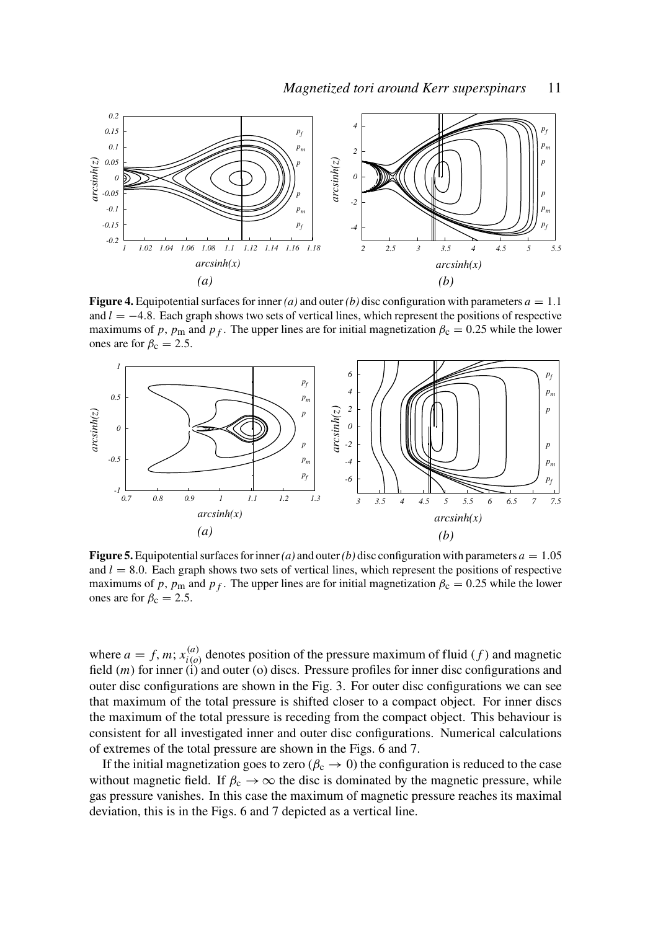

**Figure 4.** Equipotential surfaces for inner *(a)* and outer *(b)* disc configuration with parameters  $a = 1.1$ and  $l = -4.8$ . Each graph shows two sets of vertical lines, which represent the positions of respective maximums of *p*,  $p_m$  and  $p_f$ . The upper lines are for initial magnetization  $\beta_c = 0.25$  while the lower ones are for  $\beta_c = 2.5$ .



**Figure 5.** Equipotential surfaces for inner *(a)* and outer *(b)* disc configuration with parameters  $a = 1.05$ and  $l = 8.0$ . Each graph shows two sets of vertical lines, which represent the positions of respective maximums of *p*,  $p_m$  and  $p_f$ . The upper lines are for initial magnetization  $\beta_c = 0.25$  while the lower ones are for  $\beta_c = 2.5$ .

where  $a = f, m; x_{i(a)}^{(a)}$  $\binom{a}{i}$  denotes position of the pressure maximum of fluid (*f*) and magnetic field (*m*) for inner (i) and outer (o) discs. Pressure profiles for inner disc configurations and outer disc configurations are shown in the Fig. 3. For outer disc configurations we can see that maximum of the total pressure is shifted closer to a compact object. For inner discs the maximum of the total pressure is receding from the compact object. This behaviour is consistent for all investigated inner and outer disc configurations. Numerical calculations of extremes of the total pressure are shown in the Figs. 6 and 7.

If the initial magnetization goes to zero ( $\beta_c \rightarrow 0$ ) the configuration is reduced to the case without magnetic field. If  $\beta_c \rightarrow \infty$  the disc is dominated by the magnetic pressure, while gas pressure vanishes. In this case the maximum of magnetic pressure reaches its maximal deviation, this is in the Figs. 6 and 7 depicted as a vertical line.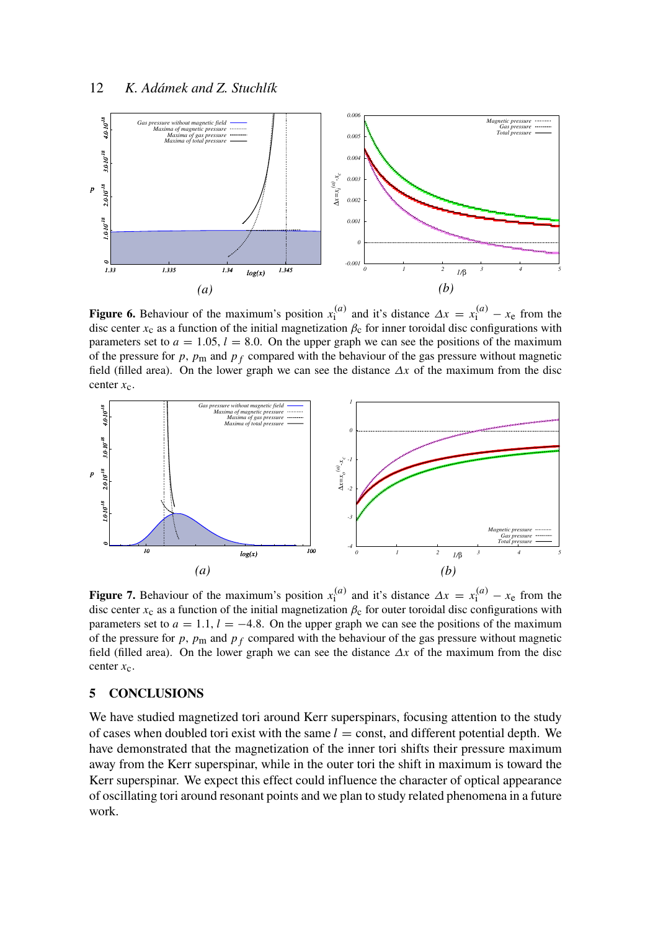

Figure 6. Behaviour of the maximum's position  $x_1^{(a)}$  and it's distance  $\Delta x = x_1^{(a)} - x_e$  from the disc center  $x_c$  as a function of the initial magnetization  $\beta_c$  for inner toroidal disc configurations with parameters set to  $a = 1.05$ ,  $l = 8.0$ . On the upper graph we can see the positions of the maximum of the pressure for  $p$ ,  $p_m$  and  $p_f$  compared with the behaviour of the gas pressure without magnetic field (filled area). On the lower graph we can see the distance ∆*x* of the maximum from the disc center  $x_c$ .



Figure 7. Behaviour of the maximum's position  $x_1^{(a)}$  and it's distance  $\Delta x = x_1^{(a)} - x_e$  from the disc center  $x_c$  as a function of the initial magnetization  $\beta_c$  for outer toroidal disc configurations with parameters set to  $a = 1.1$ ,  $l = -4.8$ . On the upper graph we can see the positions of the maximum of the pressure for  $p$ ,  $p_m$  and  $p_f$  compared with the behaviour of the gas pressure without magnetic field (filled area). On the lower graph we can see the distance ∆*x* of the maximum from the disc center *x*c.

## 5 CONCLUSIONS

We have studied magnetized tori around Kerr superspinars, focusing attention to the study of cases when doubled tori exist with the same  $l =$  const, and different potential depth. We have demonstrated that the magnetization of the inner tori shifts their pressure maximum away from the Kerr superspinar, while in the outer tori the shift in maximum is toward the Kerr superspinar. We expect this effect could influence the character of optical appearance of oscillating tori around resonant points and we plan to study related phenomena in a future work.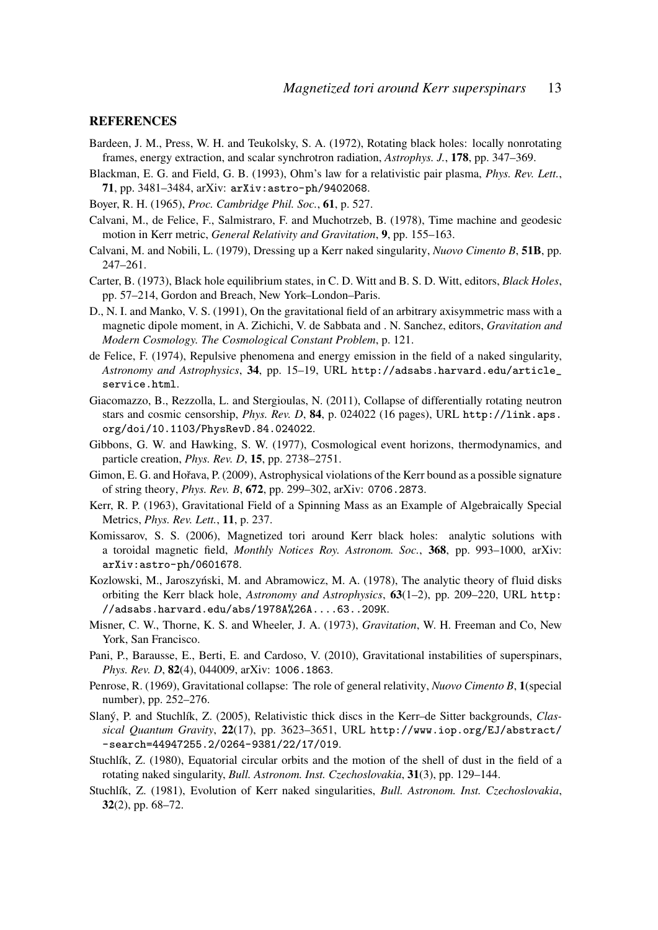### **REFERENCES**

- Bardeen, J. M., Press, W. H. and Teukolsky, S. A. (1972), Rotating black holes: locally nonrotating frames, energy extraction, and scalar synchrotron radiation, *Astrophys. J.*, 178, pp. 347–369.
- Blackman, E. G. and Field, G. B. (1993), Ohm's law for a relativistic pair plasma, *Phys. Rev. Lett.*, 71, pp. 3481–3484, arXiv: arXiv:astro-ph/9402068.
- Boyer, R. H. (1965), *Proc. Cambridge Phil. Soc.*, 61, p. 527.
- Calvani, M., de Felice, F., Salmistraro, F. and Muchotrzeb, B. (1978), Time machine and geodesic motion in Kerr metric, *General Relativity and Gravitation*, 9, pp. 155–163.
- Calvani, M. and Nobili, L. (1979), Dressing up a Kerr naked singularity, *Nuovo Cimento B*, 51B, pp. 247–261.
- Carter, B. (1973), Black hole equilibrium states, in C. D. Witt and B. S. D. Witt, editors, *Black Holes*, pp. 57–214, Gordon and Breach, New York–London–Paris.
- D., N. I. and Manko, V. S. (1991), On the gravitational field of an arbitrary axisymmetric mass with a magnetic dipole moment, in A. Zichichi, V. de Sabbata and . N. Sanchez, editors, *Gravitation and Modern Cosmology. The Cosmological Constant Problem*, p. 121.
- de Felice, F. (1974), Repulsive phenomena and energy emission in the field of a naked singularity, *Astronomy and Astrophysics*, 34, pp. 15–19, URL http://adsabs.harvard.edu/article\_ service.html.
- Giacomazzo, B., Rezzolla, L. and Stergioulas, N. (2011), Collapse of differentially rotating neutron stars and cosmic censorship, *Phys. Rev. D*, 84, p. 024022 (16 pages), URL http://link.aps. org/doi/10.1103/PhysRevD.84.024022.
- Gibbons, G. W. and Hawking, S. W. (1977), Cosmological event horizons, thermodynamics, and particle creation, *Phys. Rev. D*, 15, pp. 2738–2751.
- Gimon, E. G. and Hořava, P. (2009), Astrophysical violations of the Kerr bound as a possible signature of string theory, *Phys. Rev. B*, 672, pp. 299–302, arXiv: 0706.2873.
- Kerr, R. P. (1963), Gravitational Field of a Spinning Mass as an Example of Algebraically Special Metrics, *Phys. Rev. Lett.*, 11, p. 237.
- Komissarov, S. S. (2006), Magnetized tori around Kerr black holes: analytic solutions with a toroidal magnetic field, *Monthly Notices Roy. Astronom. Soc.*, 368, pp. 993–1000, arXiv: arXiv:astro-ph/0601678.
- Kozlowski, M., Jaroszyński, M. and Abramowicz, M. A. (1978), The analytic theory of fluid disks orbiting the Kerr black hole, *Astronomy and Astrophysics*, 63(1–2), pp. 209–220, URL http: //adsabs.harvard.edu/abs/1978A%26A....63..209K.
- Misner, C. W., Thorne, K. S. and Wheeler, J. A. (1973), *Gravitation*, W. H. Freeman and Co, New York, San Francisco.
- Pani, P., Barausse, E., Berti, E. and Cardoso, V. (2010), Gravitational instabilities of superspinars, *Phys. Rev. D*, 82(4), 044009, arXiv: 1006.1863.
- Penrose, R. (1969), Gravitational collapse: The role of general relativity, *Nuovo Cimento B*, 1(special number), pp. 252–276.
- Slaný, P. and Stuchlík, Z. (2005), Relativistic thick discs in the Kerr–de Sitter backgrounds, *Classical Quantum Gravity*, 22(17), pp. 3623–3651, URL http://www.iop.org/EJ/abstract/ -search=44947255.2/0264-9381/22/17/019.
- Stuchlík, Z. (1980), Equatorial circular orbits and the motion of the shell of dust in the field of a rotating naked singularity, *Bull. Astronom. Inst. Czechoslovakia*, 31(3), pp. 129–144.
- Stuchlík, Z. (1981), Evolution of Kerr naked singularities, *Bull. Astronom. Inst. Czechoslovakia*, 32(2), pp. 68–72.